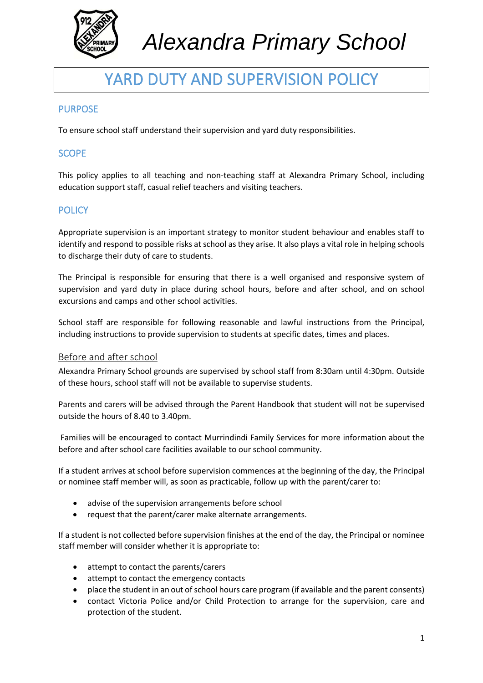

# YARD DUTY AND SUPERVISION POLICY

# **PURPOSE**

To ensure school staff understand their supervision and yard duty responsibilities.

# **SCOPE**

This policy applies to all teaching and non-teaching staff at Alexandra Primary School, including education support staff, casual relief teachers and visiting teachers.

### **POLICY**

Appropriate supervision is an important strategy to monitor student behaviour and enables staff to identify and respond to possible risks at school as they arise. It also plays a vital role in helping schools to discharge their duty of care to students.

The Principal is responsible for ensuring that there is a well organised and responsive system of supervision and yard duty in place during school hours, before and after school, and on school excursions and camps and other school activities.

School staff are responsible for following reasonable and lawful instructions from the Principal, including instructions to provide supervision to students at specific dates, times and places.

### Before and after school

Alexandra Primary School grounds are supervised by school staff from 8:30am until 4:30pm. Outside of these hours, school staff will not be available to supervise students.

Parents and carers will be advised through the Parent Handbook that student will not be supervised outside the hours of 8.40 to 3.40pm.

Families will be encouraged to contact Murrindindi Family Services for more information about the before and after school care facilities available to our school community.

If a student arrives at school before supervision commences at the beginning of the day, the Principal or nominee staff member will, as soon as practicable, follow up with the parent/carer to:

- advise of the supervision arrangements before school
- request that the parent/carer make alternate arrangements.

If a student is not collected before supervision finishes at the end of the day, the Principal or nominee staff member will consider whether it is appropriate to:

- attempt to contact the parents/carers
- attempt to contact the emergency contacts
- place the student in an out of school hours care program (if available and the parent consents)
- contact Victoria Police and/or Child Protection to arrange for the supervision, care and protection of the student.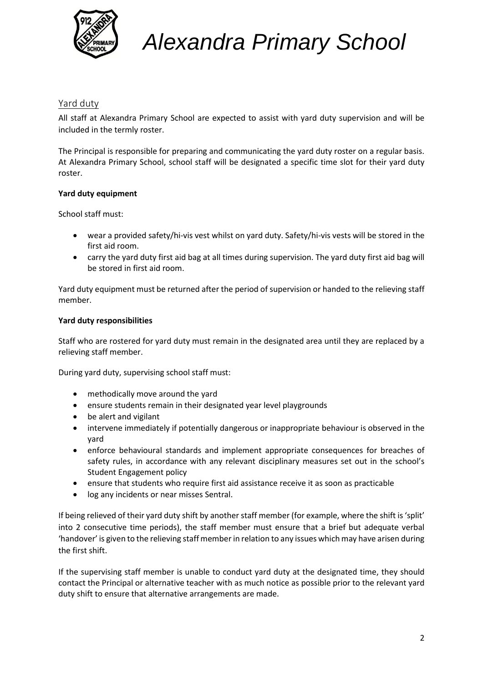

### Yard duty

All staff at Alexandra Primary School are expected to assist with yard duty supervision and will be included in the termly roster.

The Principal is responsible for preparing and communicating the yard duty roster on a regular basis. At Alexandra Primary School, school staff will be designated a specific time slot for their yard duty roster.

### **Yard duty equipment**

School staff must:

- wear a provided safety/hi-vis vest whilst on yard duty. Safety/hi-vis vests will be stored in the first aid room.
- carry the yard duty first aid bag at all times during supervision. The yard duty first aid bag will be stored in first aid room.

Yard duty equipment must be returned after the period of supervision or handed to the relieving staff member.

### **Yard duty responsibilities**

Staff who are rostered for yard duty must remain in the designated area until they are replaced by a relieving staff member.

During yard duty, supervising school staff must:

- methodically move around the yard
- ensure students remain in their designated year level playgrounds
- be alert and vigilant
- intervene immediately if potentially dangerous or inappropriate behaviour is observed in the yard
- enforce behavioural standards and implement appropriate consequences for breaches of safety rules, in accordance with any relevant disciplinary measures set out in the school's Student Engagement policy
- ensure that students who require first aid assistance receive it as soon as practicable
- log any incidents or near misses Sentral.

If being relieved of their yard duty shift by another staff member (for example, where the shift is 'split' into 2 consecutive time periods), the staff member must ensure that a brief but adequate verbal 'handover' is given to the relieving staff member in relation to any issues which may have arisen during the first shift.

If the supervising staff member is unable to conduct yard duty at the designated time, they should contact the Principal or alternative teacher with as much notice as possible prior to the relevant yard duty shift to ensure that alternative arrangements are made.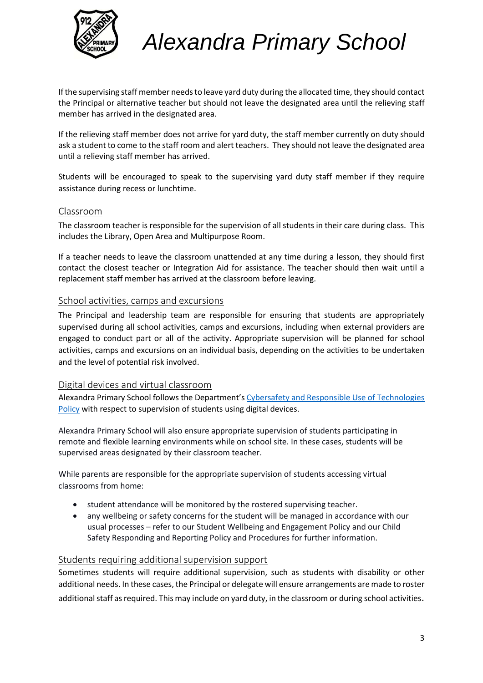

If the supervising staff member needs to leave yard duty during the allocated time, they should contact the Principal or alternative teacher but should not leave the designated area until the relieving staff member has arrived in the designated area.

If the relieving staff member does not arrive for yard duty, the staff member currently on duty should ask a student to come to the staff room and alert teachers. They should not leave the designated area until a relieving staff member has arrived.

Students will be encouraged to speak to the supervising yard duty staff member if they require assistance during recess or lunchtime.

### Classroom

The classroom teacher is responsible for the supervision of all students in their care during class. This includes the Library, Open Area and Multipurpose Room.

If a teacher needs to leave the classroom unattended at any time during a lesson, they should first contact the closest teacher or Integration Aid for assistance. The teacher should then wait until a replacement staff member has arrived at the classroom before leaving.

### School activities, camps and excursions

The Principal and leadership team are responsible for ensuring that students are appropriately supervised during all school activities, camps and excursions, including when external providers are engaged to conduct part or all of the activity. Appropriate supervision will be planned for school activities, camps and excursions on an individual basis, depending on the activities to be undertaken and the level of potential risk involved.

### Digital devices and virtual classroom

Alexandra Primary School follows the Department's [Cybersafety and Responsible Use of Technologies](https://www2.education.vic.gov.au/pal/cybersafety/policy)  [Policy](https://www2.education.vic.gov.au/pal/cybersafety/policy) with respect to supervision of students using digital devices.

Alexandra Primary School will also ensure appropriate supervision of students participating in remote and flexible learning environments while on school site. In these cases, students will be supervised areas designated by their classroom teacher.

While parents are responsible for the appropriate supervision of students accessing virtual classrooms from home:

- student attendance will be monitored by the rostered supervising teacher.
- any wellbeing or safety concerns for the student will be managed in accordance with our usual processes – refer to our Student Wellbeing and Engagement Policy and our Child Safety Responding and Reporting Policy and Procedures for further information.

### Students requiring additional supervision support

Sometimes students will require additional supervision, such as students with disability or other additional needs. In these cases, the Principal or delegate will ensure arrangements are made to roster additional staff as required. This may include on yard duty, in the classroom or during school activities.